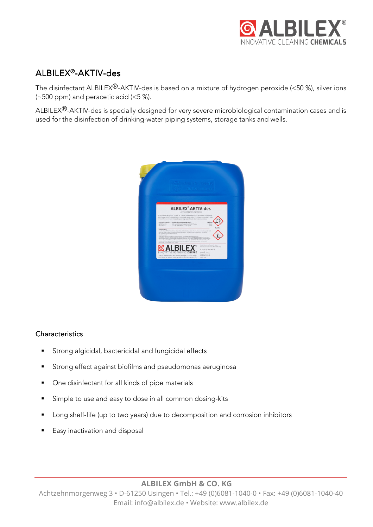

# ALBILEX®-AKTIV-des

The disinfectant ALBILEX®-AKTIV-des is based on a mixture of hydrogen peroxide (<50 %), silver ions (~500 ppm) and peracetic acid (<5 %).

ALBILEX®-AKTIV-des is specially designed for very severe microbiological contamination cases and is used for the disinfection of drinking-water piping systems, storage tanks and wells.



## **Characteristics**

- **Strong algicidal, bactericidal and fungicidal effects**
- Strong effect against biofilms and pseudomonas aeruginosa
- One disinfectant for all kinds of pipe materials
- Simple to use and easy to dose in all common dosing-kits
- Long shelf-life (up to two years) due to decomposition and corrosion inhibitors
- Easy inactivation and disposal

**ALBILEX GmbH & CO. KG** 

Achtzehnmorgenweg 3 • D-61250 Usingen • Tel.: +49 (0)6081-1040-0 • Fax: +49 (0)6081-1040-40 Email: info@albilex.de • Website: www.albilex.de